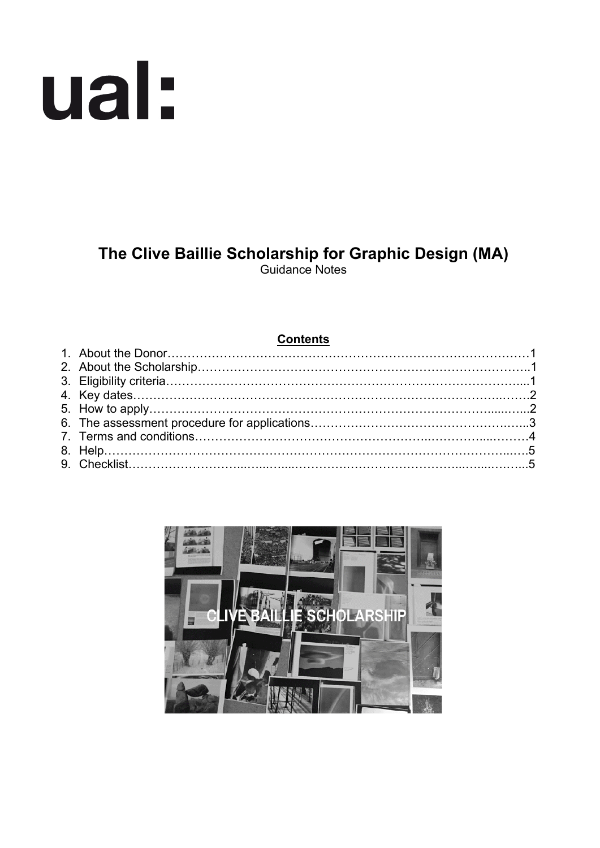# ual:

# **The Clive Baillie Scholarship for Graphic Design (MA)** Guidance Notes

| <b>Contents</b> |  |  |  |
|-----------------|--|--|--|
|                 |  |  |  |
|                 |  |  |  |
|                 |  |  |  |
|                 |  |  |  |
|                 |  |  |  |
|                 |  |  |  |
|                 |  |  |  |
|                 |  |  |  |
|                 |  |  |  |

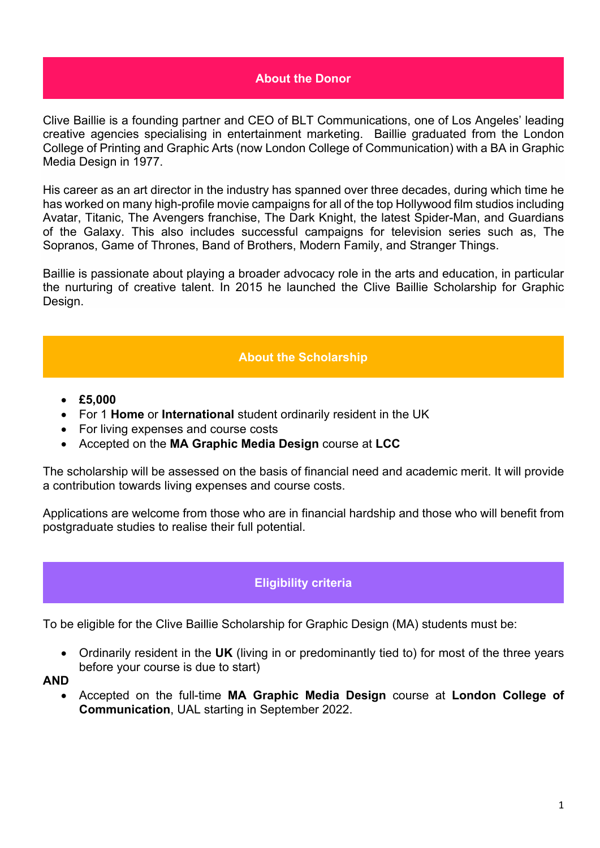#### **About the Donor**

Clive Baillie is a founding partner and CEO of BLT Communications, one of Los Angeles' leading creative agencies specialising in entertainment marketing. Baillie graduated from the London College of Printing and Graphic Arts (now London College of Communication) with a BA in Graphic Media Design in 1977.

His career as an art director in the industry has spanned over three decades, during which time he has worked on many high-profile movie campaigns for all of the top Hollywood film studios including Avatar, Titanic, The Avengers franchise, The Dark Knight, the latest Spider-Man, and Guardians of the Galaxy. This also includes successful campaigns for television series such as, The Sopranos, Game of Thrones, Band of Brothers, Modern Family, and Stranger Things.

Baillie is passionate about playing a broader advocacy role in the arts and education, in particular the nurturing of creative talent. In 2015 he launched the Clive Baillie Scholarship for Graphic Design.

#### **About the Scholarship**

- **£5,000**
- For 1 **Home** or **International** student ordinarily resident in the UK
- For living expenses and course costs
- Accepted on the **MA Graphic Media Design** course at **LCC**

The scholarship will be assessed on the basis of financial need and academic merit. It will provide a contribution towards living expenses and course costs.

Applications are welcome from those who are in financial hardship and those who will benefit from postgraduate studies to realise their full potential.

## **Eligibility criteria**

To be eligible for the Clive Baillie Scholarship for Graphic Design (MA) students must be:

• Ordinarily resident in the **UK** (living in or predominantly tied to) for most of the three years before your course is due to start)

**AND**

• Accepted on the full-time **MA Graphic Media Design** course at **London College of Communication**, UAL starting in September 2022.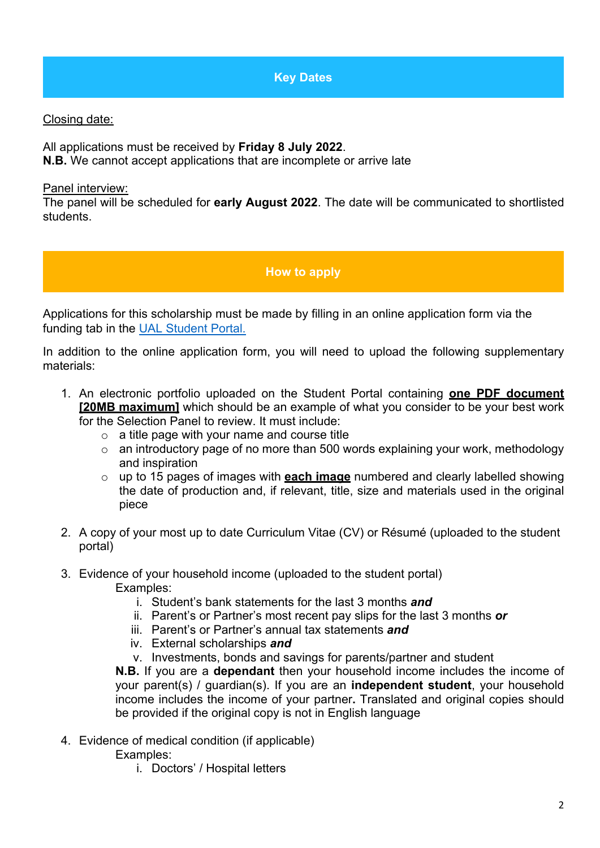**Key Dates**

## Closing date:

All applications must be received by **Friday 8 July 2022**. **N.B.** We cannot accept applications that are incomplete or arrive late

#### Panel interview:

The panel will be scheduled for **early August 2022**. The date will be communicated to shortlisted students.

## **How to apply**

Applications for this scholarship must be made by filling in an online application form via the funding tab in the [UAL Student Portal.](https://sits.arts.ac.uk/urd/sits.urd/run/SIW_LGN)

In addition to the online application form, you will need to upload the following supplementary materials:

- 1. An electronic portfolio uploaded on the Student Portal containing **one PDF document [20MB maximum]** which should be an example of what you consider to be your best work for the Selection Panel to review. It must include:
	- $\circ$  a title page with your name and course title
	- o an introductory page of no more than 500 words explaining your work, methodology and inspiration
	- o up to 15 pages of images with **each image** numbered and clearly labelled showing the date of production and, if relevant, title, size and materials used in the original piece
- 2. A copy of your most up to date Curriculum Vitae (CV) or Résumé (uploaded to the student portal)
- 3. Evidence of your household income (uploaded to the student portal) Examples:
	- i. Student's bank statements for the last 3 months *and*
	- ii. Parent's or Partner's most recent pay slips for the last 3 months *or*
	- iii. Parent's or Partner's annual tax statements *and*
	- iv. External scholarships *and*
	- v. Investments, bonds and savings for parents/partner and student

**N.B.** If you are a **dependant** then your household income includes the income of your parent(s) / guardian(s). If you are an **independent student**, your household income includes the income of your partner**.** Translated and original copies should be provided if the original copy is not in English language

- 4. Evidence of medical condition (if applicable)
	- Examples:
		- i. Doctors' / Hospital letters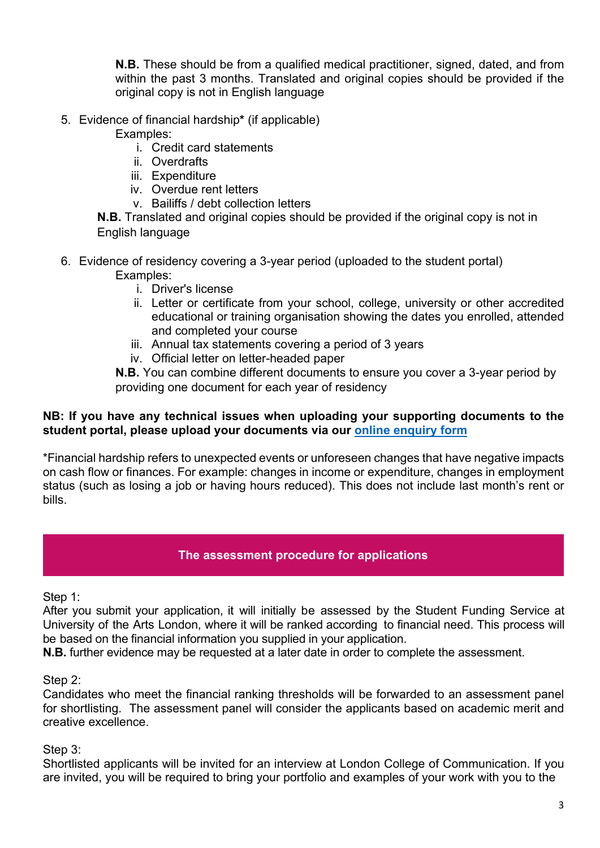**N.B.** These should be from a qualified medical practitioner, signed, dated, and from within the past 3 months. Translated and original copies should be provided if the original copy is not in English language

5. Evidence of financial hardship**\*** (if applicable)

Examples:

- i. Credit card statements
- ii. Overdrafts
- iii. Expenditure
- iv. Overdue rent letters
- v. Bailiffs / debt collection letters

**N.B.** Translated and original copies should be provided if the original copy is not in English language

- 6. Evidence of residency covering a 3-year period (uploaded to the student portal) Examples:
	- i. Driver's license
	- ii. Letter or certificate from your school, college, university or other accredited educational or training organisation showing the dates you enrolled, attended and completed your course
	- iii. Annual tax statements covering a period of 3 years
	- iv. Official letter on letter-headed paper

**N.B.** You can combine different documents to ensure you cover a 3-year period by providing one document for each year of residency

#### **NB: If you have any technical issues when uploading your supporting documents to the student portal, please upload your documents via our [online enquiry form](https://forms.arts.ac.uk/funding-student-enquiry-form/)**

\*Financial hardship refers to unexpected events or unforeseen changes that have negative impacts on cash flow or finances. For example: changes in income or expenditure, changes in employment status (such as losing a job or having hours reduced). This does not include last month's rent or bills.

## **The assessment procedure for applications**

Step 1:

After you submit your application, it will initially be assessed by the Student Funding Service at University of the Arts London, where it will be ranked according to financial need. This process will be based on the financial information you supplied in your application.

**N.B.** further evidence may be requested at a later date in order to complete the assessment.

Step 2:

Candidates who meet the financial ranking thresholds will be forwarded to an assessment panel for shortlisting. The assessment panel will consider the applicants based on academic merit and creative excellence.

Step 3:

Shortlisted applicants will be invited for an interview at London College of Communication. If you are invited, you will be required to bring your portfolio and examples of your work with you to the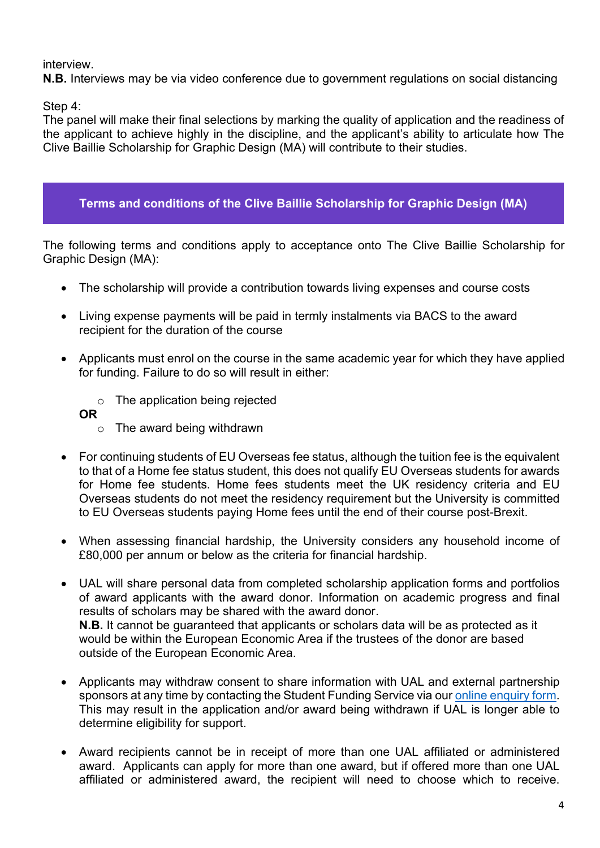interview.

**N.B.** Interviews may be via video conference due to government regulations on social distancing

Step 4:

The panel will make their final selections by marking the quality of application and the readiness of the applicant to achieve highly in the discipline, and the applicant's ability to articulate how The Clive Baillie Scholarship for Graphic Design (MA) will contribute to their studies.

# **Terms and conditions of the Clive Baillie Scholarship for Graphic Design (MA)**

The following terms and conditions apply to acceptance onto The Clive Baillie Scholarship for Graphic Design (MA):

- The scholarship will provide a contribution towards living expenses and course costs
- Living expense payments will be paid in termly instalments via BACS to the award recipient for the duration of the course
- Applicants must enrol on the course in the same academic year for which they have applied for funding. Failure to do so will result in either:
	- o The application being rejected
	- **OR** 
		- o The award being withdrawn
- For continuing students of EU Overseas fee status, although the tuition fee is the equivalent to that of a Home fee status student, this does not qualify EU Overseas students for awards for Home fee students. Home fees students meet the UK residency criteria and EU Overseas students do not meet the residency requirement but the University is committed to EU Overseas students paying Home fees until the end of their course post-Brexit.
- When assessing financial hardship, the University considers any household income of £80,000 per annum or below as the criteria for financial hardship.
- UAL will share personal data from completed scholarship application forms and portfolios of award applicants with the award donor. Information on academic progress and final results of scholars may be shared with the award donor. **N.B.** It cannot be guaranteed that applicants or scholars data will be as protected as it would be within the European Economic Area if the trustees of the donor are based outside of the European Economic Area.
- Applicants may withdraw consent to share information with UAL and external partnership sponsors at any time by contacting the Student Funding Service via ou[r online enquiry form.](https://forms.arts.ac.uk/funding-student-enquiry-form/) This may result in the application and/or award being withdrawn if UAL is longer able to determine eligibility for support.
- Award recipients cannot be in receipt of more than one UAL affiliated or administered award. Applicants can apply for more than one award, but if offered more than one UAL affiliated or administered award, the recipient will need to choose which to receive.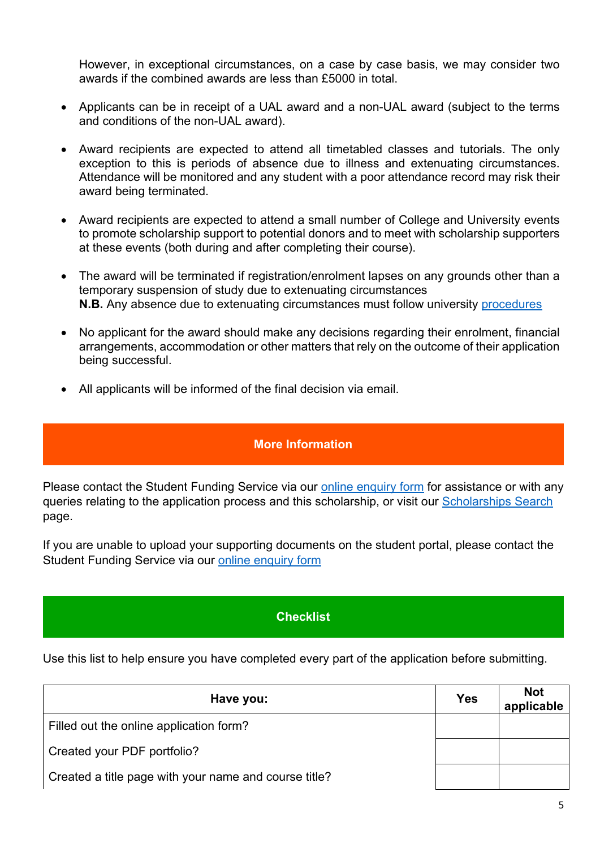However, in exceptional circumstances, on a case by case basis, we may consider two awards if the combined awards are less than £5000 in total.

- Applicants can be in receipt of a UAL award and a non-UAL award (subject to the terms and conditions of the non-UAL award).
- Award recipients are expected to attend all timetabled classes and tutorials. The only exception to this is periods of absence due to illness and extenuating circumstances. Attendance will be monitored and any student with a poor attendance record may risk their award being terminated.
- Award recipients are expected to attend a small number of College and University events to promote scholarship support to potential donors and to meet with scholarship supporters at these events (both during and after completing their course).
- The award will be terminated if registration/enrolment lapses on any grounds other than a temporary suspension of study due to extenuating circumstances **N.B.** Any absence due to extenuating circumstances must follow university [procedures](https://www.arts.ac.uk/study-at-ual/academic-regulations/course-regulations/extenuating-circumstances-and-time-out)
- No applicant for the award should make any decisions regarding their enrolment, financial arrangements, accommodation or other matters that rely on the outcome of their application being successful.
- All applicants will be informed of the final decision via email.

## **More Information**

Please contact the Student Funding Service via our [online enquiry form](https://forms.arts.ac.uk/funding-student-enquiry-form/) for assistance or with any queries relating to the application process and this scholarship, or visit our [Scholarships Search](http://www.arts.ac.uk/study-at-ual/student-fees--funding/scholarships-search/) page.

If you are unable to upload your supporting documents on the student portal, please contact the Student Funding Service via our [online enquiry form](https://forms.arts.ac.uk/funding-student-enquiry-form/)

## **Checklist**

Use this list to help ensure you have completed every part of the application before submitting.

| Have you:                                             | <b>Yes</b> | <b>Not</b><br>applicable |
|-------------------------------------------------------|------------|--------------------------|
| Filled out the online application form?               |            |                          |
| Created your PDF portfolio?                           |            |                          |
| Created a title page with your name and course title? |            |                          |